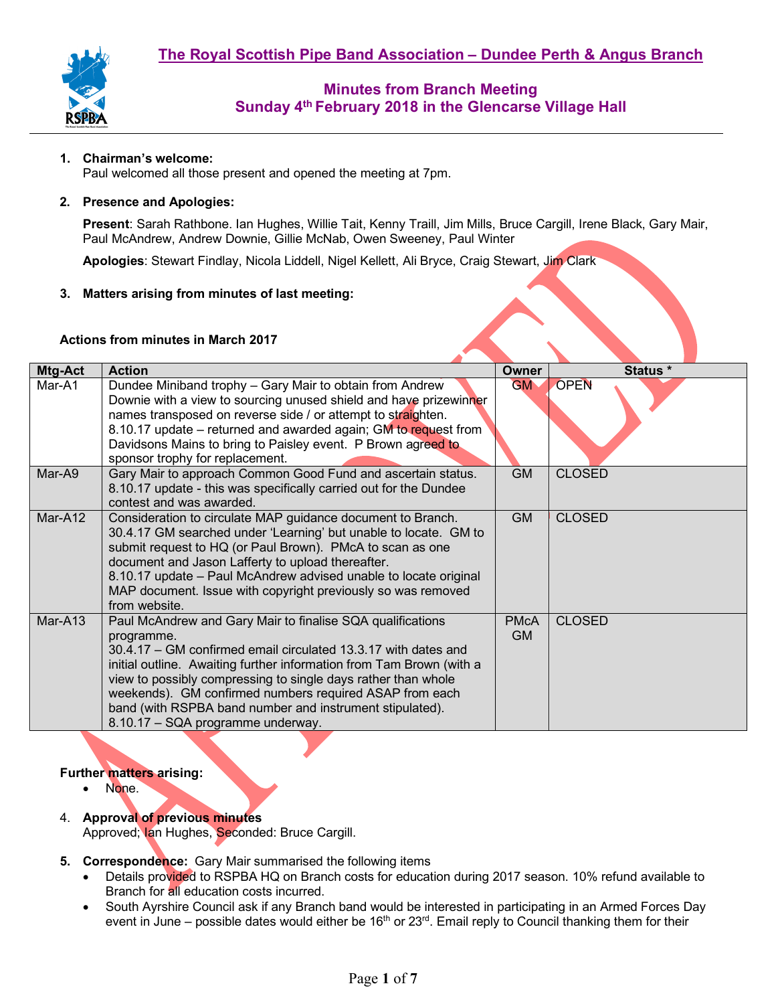

## **1. Chairman's welcome:**

Paul welcomed all those present and opened the meeting at 7pm.

#### **2. Presence and Apologies:**

**Present**: Sarah Rathbone. Ian Hughes, Willie Tait, Kenny Traill, Jim Mills, Bruce Cargill, Irene Black, Gary Mair, Paul McAndrew, Andrew Downie, Gillie McNab, Owen Sweeney, Paul Winter

**Apologies**: Stewart Findlay, Nicola Liddell, Nigel Kellett, Ali Bryce, Craig Stewart, Jim Clark

## **3. Matters arising from minutes of last meeting:**

#### **Actions from minutes in March 2017**

| Mtg-Act | <b>Action</b>                                                                                                                                                                                                                                                                                                                                                                                                                                   | Owner             | Status *      |
|---------|-------------------------------------------------------------------------------------------------------------------------------------------------------------------------------------------------------------------------------------------------------------------------------------------------------------------------------------------------------------------------------------------------------------------------------------------------|-------------------|---------------|
| Mar-A1  | Dundee Miniband trophy - Gary Mair to obtain from Andrew<br>Downie with a view to sourcing unused shield and have prizewinner<br>names transposed on reverse side / or attempt to straighten.<br>8.10.17 update – returned and awarded again; GM to request from<br>Davidsons Mains to bring to Paisley event. P Brown agreed to<br>sponsor trophy for replacement.                                                                             | <b>GM</b>         | <b>OPEN</b>   |
| Mar-A9  | Gary Mair to approach Common Good Fund and ascertain status.<br>8.10.17 update - this was specifically carried out for the Dundee<br>contest and was awarded.                                                                                                                                                                                                                                                                                   | <b>GM</b>         | <b>CLOSED</b> |
| Mar-A12 | Consideration to circulate MAP guidance document to Branch.<br>30.4.17 GM searched under 'Learning' but unable to locate. GM to<br>submit request to HQ (or Paul Brown). PMcA to scan as one<br>document and Jason Lafferty to upload thereafter.<br>8.10.17 update - Paul McAndrew advised unable to locate original<br>MAP document. Issue with copyright previously so was removed<br>from website.                                          | <b>GM</b>         | <b>CLOSED</b> |
| Mar-A13 | Paul McAndrew and Gary Mair to finalise SQA qualifications<br>programme.<br>30.4.17 – GM confirmed email circulated 13.3.17 with dates and<br>initial outline. Awaiting further information from Tam Brown (with a<br>view to possibly compressing to single days rather than whole<br>weekends). GM confirmed numbers required ASAP from each<br>band (with RSPBA band number and instrument stipulated).<br>8.10.17 - SQA programme underway. | <b>PMcA</b><br>GM | <b>CLOSED</b> |

#### **Further matters arising:**

- None.
- 4. **Approval of previous minutes**  Approved; Ian Hughes, Seconded: Bruce Cargill.
- **5. Correspondence:** Gary Mair summarised the following items
	- Details provided to RSPBA HQ on Branch costs for education during 2017 season. 10% refund available to Branch for all education costs incurred.
	- South Ayrshire Council ask if any Branch band would be interested in participating in an Armed Forces Day event in June – possible dates would either be  $16<sup>th</sup>$  or  $23<sup>rd</sup>$ . Email reply to Council thanking them for their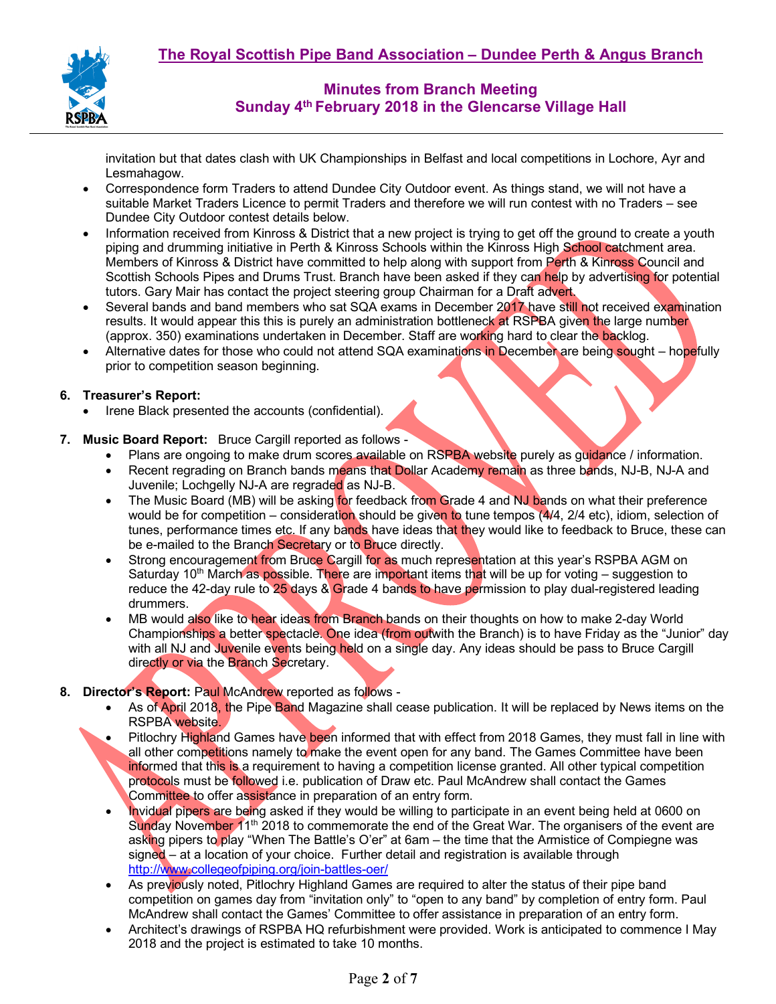

invitation but that dates clash with UK Championships in Belfast and local competitions in Lochore, Ayr and Lesmahagow.

- Correspondence form Traders to attend Dundee City Outdoor event. As things stand, we will not have a suitable Market Traders Licence to permit Traders and therefore we will run contest with no Traders – see Dundee City Outdoor contest details below.
- Information received from Kinross & District that a new project is trying to get off the ground to create a youth piping and drumming initiative in Perth & Kinross Schools within the Kinross High School catchment area. Members of Kinross & District have committed to help along with support from Perth & Kinross Council and Scottish Schools Pipes and Drums Trust. Branch have been asked if they can help by advertising for potential tutors. Gary Mair has contact the project steering group Chairman for a Draft advert.
- Several bands and band members who sat SQA exams in December 2017 have still not received examination results. It would appear this this is purely an administration bottleneck at RSPBA given the large number (approx. 350) examinations undertaken in December. Staff are working hard to clear the backlog.
- Alternative dates for those who could not attend SQA examinations in December are being sought hopefully prior to competition season beginning.

## **6. Treasurer's Report:**

- Irene Black presented the accounts (confidential).
- **7. Music Board Report:** Bruce Cargill reported as follows
	- Plans are ongoing to make drum scores available on RSPBA website purely as guidance / information.
	- Recent regrading on Branch bands means that Dollar Academy remain as three bands, NJ-B, NJ-A and Juvenile; Lochgelly NJ-A are regraded as NJ-B.
	- The Music Board (MB) will be asking for feedback from Grade 4 and NJ bands on what their preference would be for competition – consideration should be given to tune tempos (4/4, 2/4 etc), idiom, selection of tunes, performance times etc. If any bands have ideas that they would like to feedback to Bruce, these can be e-mailed to the Branch Secretary or to Bruce directly.
	- Strong encouragement from Bruce Cargill for as much representation at this year's RSPBA AGM on Saturday 10<sup>th</sup> March as possible. There are important items that will be up for voting – suggestion to reduce the 42-day rule to 25 days & Grade 4 bands to have permission to play dual-registered leading drummers.
	- MB would also like to hear ideas from Branch bands on their thoughts on how to make 2-day World Championships a better spectacle. One idea (from outwith the Branch) is to have Friday as the "Junior" day with all NJ and Juvenile events being held on a single day. Any ideas should be pass to Bruce Cargill directly or via the Branch Secretary.

#### **8. Director's Report:** Paul McAndrew reported as follows -

- As of April 2018, the Pipe Band Magazine shall cease publication. It will be replaced by News items on the RSPBA website.
- Pitlochry Highland Games have been informed that with effect from 2018 Games, they must fall in line with all other competitions namely to make the event open for any band. The Games Committee have been informed that this is a requirement to having a competition license granted. All other typical competition protocols must be followed i.e. publication of Draw etc. Paul McAndrew shall contact the Games Committee to offer assistance in preparation of an entry form.
- Invidual pipers are being asked if they would be willing to participate in an event being held at 0600 on Sunday November  $11<sup>th</sup>$  2018 to commemorate the end of the Great War. The organisers of the event are asking pipers to play "When The Battle's O'er" at 6am – the time that the Armistice of Compiegne was signed – at a location of your choice. Further detail and registration is available through http://www.collegeofpiping.org/join-battles-oer/
- As previously noted, Pitlochry Highland Games are required to alter the status of their pipe band competition on games day from "invitation only" to "open to any band" by completion of entry form. Paul McAndrew shall contact the Games' Committee to offer assistance in preparation of an entry form.
- Architect's drawings of RSPBA HQ refurbishment were provided. Work is anticipated to commence I May 2018 and the project is estimated to take 10 months.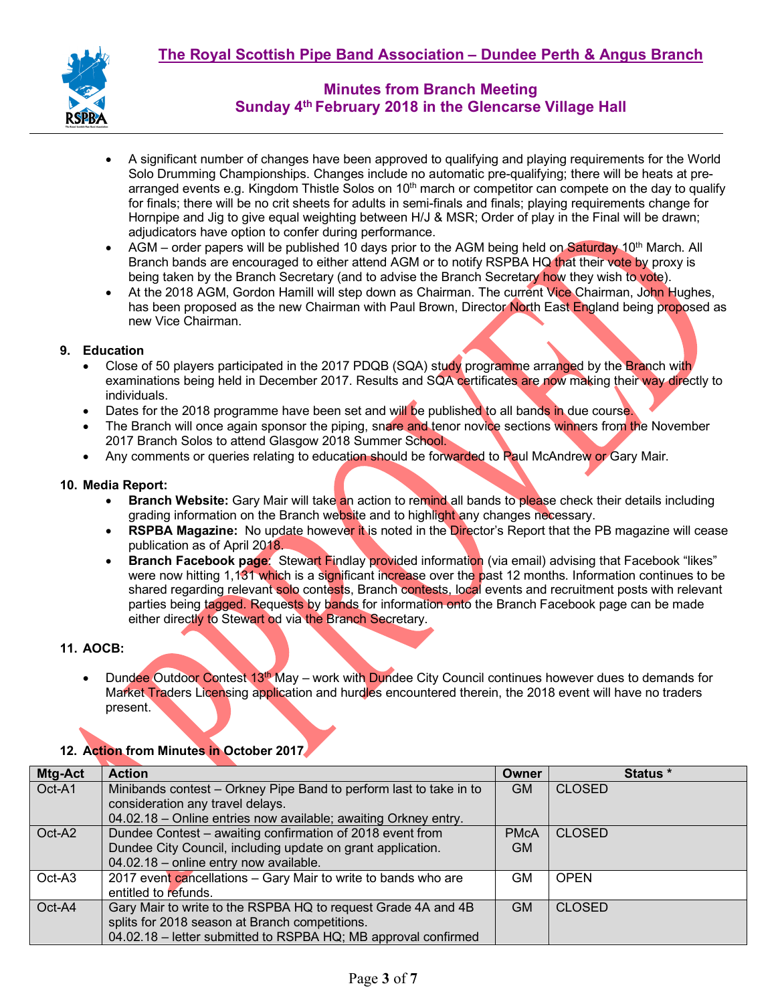

- A significant number of changes have been approved to qualifying and playing requirements for the World Solo Drumming Championships. Changes include no automatic pre-qualifying; there will be heats at prearranged events e.g. Kingdom Thistle Solos on 10<sup>th</sup> march or competitor can compete on the day to qualify for finals; there will be no crit sheets for adults in semi-finals and finals; playing requirements change for Hornpipe and Jig to give equal weighting between H/J & MSR; Order of play in the Final will be drawn; adjudicators have option to confer during performance.
- AGM order papers will be published 10 days prior to the AGM being held on Saturday 10<sup>th</sup> March. All Branch bands are encouraged to either attend AGM or to notify RSPBA HQ that their vote by proxy is being taken by the Branch Secretary (and to advise the Branch Secretary how they wish to vote).
- At the 2018 AGM, Gordon Hamill will step down as Chairman. The current Vice Chairman, John Hughes, has been proposed as the new Chairman with Paul Brown, Director North East England being proposed as new Vice Chairman.

## **9. Education**

- Close of 50 players participated in the 2017 PDQB (SQA) study programme arranged by the Branch with examinations being held in December 2017. Results and SQA certificates are now making their way directly to individuals.
- Dates for the 2018 programme have been set and will be published to all bands in due course.
- The Branch will once again sponsor the piping, snare and tenor novice sections winners from the November 2017 Branch Solos to attend Glasgow 2018 Summer School.
- Any comments or queries relating to education should be forwarded to Paul McAndrew or Gary Mair.

## **10. Media Report:**

- **Branch Website:** Gary Mair will take an action to remind all bands to please check their details including grading information on the Branch website and to highlight any changes necessary.
- **RSPBA Magazine:** No update however it is noted in the Director's Report that the PB magazine will cease publication as of April 2018.
- **Branch Facebook page:** Stewart Findlay provided information (via email) advising that Facebook "likes" were now hitting 1,131 which is a significant increase over the past 12 months. Information continues to be shared regarding relevant solo contests, Branch contests, local events and recruitment posts with relevant parties being tagged. Requests by bands for information onto the Branch Facebook page can be made either directly to Stewart od via the Branch Secretary.

## **11. AOCB:**

Dundee Outdoor Contest 13<sup>th</sup> May – work with Dundee City Council continues however dues to demands for Market Traders Licensing application and hurdles encountered therein, the 2018 event will have no traders present.

# **12. Action from Minutes in October 2017**

| <b>Mtg-Act</b> | <b>Action</b>                                                      | <b>Owner</b> | Status *      |
|----------------|--------------------------------------------------------------------|--------------|---------------|
| Oct-A1         | Minibands contest - Orkney Pipe Band to perform last to take in to | <b>GM</b>    | <b>CLOSED</b> |
|                | consideration any travel delays.                                   |              |               |
|                | 04.02.18 - Online entries now available; awaiting Orkney entry.    |              |               |
| Oct-A2         | Dundee Contest – awaiting confirmation of 2018 event from          | <b>PMcA</b>  | <b>CLOSED</b> |
|                | Dundee City Council, including update on grant application.        | <b>GM</b>    |               |
|                | 04.02.18 - online entry now available.                             |              |               |
| Oct-A3         | 2017 event cancellations - Gary Mair to write to bands who are     | GМ           | <b>OPEN</b>   |
|                | entitled to refunds.                                               |              |               |
| Oct-A4         | Gary Mair to write to the RSPBA HQ to request Grade 4A and 4B      | <b>GM</b>    | <b>CLOSED</b> |
|                | splits for 2018 season at Branch competitions.                     |              |               |
|                | 04.02.18 - letter submitted to RSPBA HQ; MB approval confirmed     |              |               |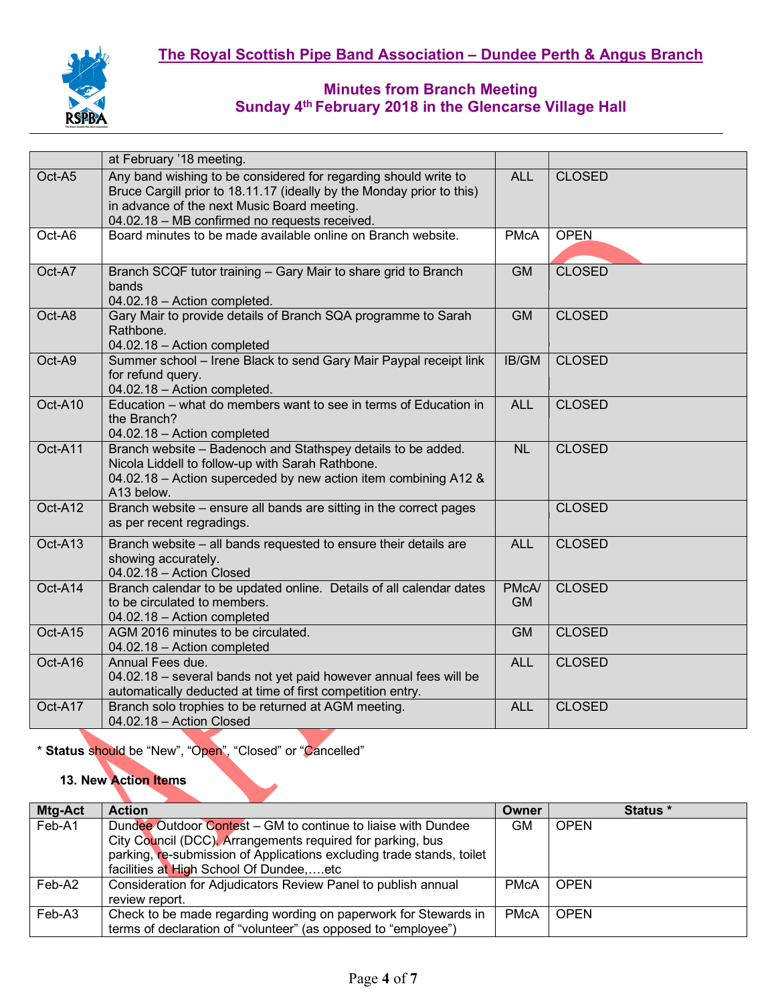

|         | at February '18 meeting.                                                                                                                                                                                                                 |                    |               |
|---------|------------------------------------------------------------------------------------------------------------------------------------------------------------------------------------------------------------------------------------------|--------------------|---------------|
| Oct-A5  | Any band wishing to be considered for regarding should write to<br>Bruce Cargill prior to 18.11.17 (ideally by the Monday prior to this)<br>in advance of the next Music Board meeting.<br>04.02.18 - MB confirmed no requests received. | <b>ALL</b>         | <b>CLOSED</b> |
| Oct-A6  | Board minutes to be made available online on Branch website.                                                                                                                                                                             | <b>PMcA</b>        | <b>OPEN</b>   |
| Oct-A7  | Branch SCQF tutor training - Gary Mair to share grid to Branch<br>bands<br>04.02.18 - Action completed.                                                                                                                                  | <b>GM</b>          | <b>CLOSED</b> |
| Oct-A8  | Gary Mair to provide details of Branch SQA programme to Sarah<br>Rathbone.<br>04.02.18 - Action completed                                                                                                                                | GM                 | <b>CLOSED</b> |
| Oct-A9  | Summer school - Irene Black to send Gary Mair Paypal receipt link<br>for refund query.<br>04.02.18 - Action completed.                                                                                                                   | IB/GM              | <b>CLOSED</b> |
| Oct-A10 | Education – what do members want to see in terms of Education in<br>the Branch?<br>04.02.18 - Action completed                                                                                                                           | <b>ALL</b>         | <b>CLOSED</b> |
| Oct-A11 | Branch website - Badenoch and Stathspey details to be added.<br>Nicola Liddell to follow-up with Sarah Rathbone.<br>04.02.18 - Action superceded by new action item combining A12 &<br>A13 below.                                        | <b>NL</b>          | <b>CLOSED</b> |
| Oct-A12 | Branch website - ensure all bands are sitting in the correct pages<br>as per recent regradings.                                                                                                                                          |                    | <b>CLOSED</b> |
| Oct-A13 | Branch website - all bands requested to ensure their details are<br>showing accurately.<br>04.02.18 - Action Closed                                                                                                                      | <b>ALL</b>         | <b>CLOSED</b> |
| Oct-A14 | Branch calendar to be updated online. Details of all calendar dates<br>to be circulated to members.<br>04.02.18 - Action completed                                                                                                       | PMcA/<br><b>GM</b> | <b>CLOSED</b> |
| Oct-A15 | AGM 2016 minutes to be circulated.<br>04.02.18 - Action completed                                                                                                                                                                        | <b>GM</b>          | <b>CLOSED</b> |
| Oct-A16 | Annual Fees due.<br>04.02.18 - several bands not yet paid however annual fees will be<br>automatically deducted at time of first competition entry.                                                                                      | <b>ALL</b>         | <b>CLOSED</b> |
| Oct-A17 | Branch solo trophies to be returned at AGM meeting.<br>04.02.18 - Action Closed                                                                                                                                                          | <b>ALL</b>         | <b>CLOSED</b> |

\* **Status** should be "New", "Open", "Closed" or "Cancelled"

## **13. New Action Items**

| <b>Mtg-Act</b> | <b>Action</b>                                                                                                                                                                                        | Owner       | Status *    |
|----------------|------------------------------------------------------------------------------------------------------------------------------------------------------------------------------------------------------|-------------|-------------|
| Feb-A1         | Dundee Outdoor Contest – GM to continue to liaise with Dundee<br>City Council (DCC). Arrangements required for parking, bus<br>parking, re-submission of Applications excluding trade stands, toilet | <b>GM</b>   | <b>OPEN</b> |
|                | facilities at High School Of Dundee,etc                                                                                                                                                              |             |             |
| Feb-A2         | Consideration for Adjudicators Review Panel to publish annual<br>review report.                                                                                                                      | <b>PMcA</b> | <b>OPEN</b> |
| Feb-A3         | Check to be made regarding wording on paperwork for Stewards in<br>terms of declaration of "volunteer" (as opposed to "employee")                                                                    | <b>PMcA</b> | <b>OPEN</b> |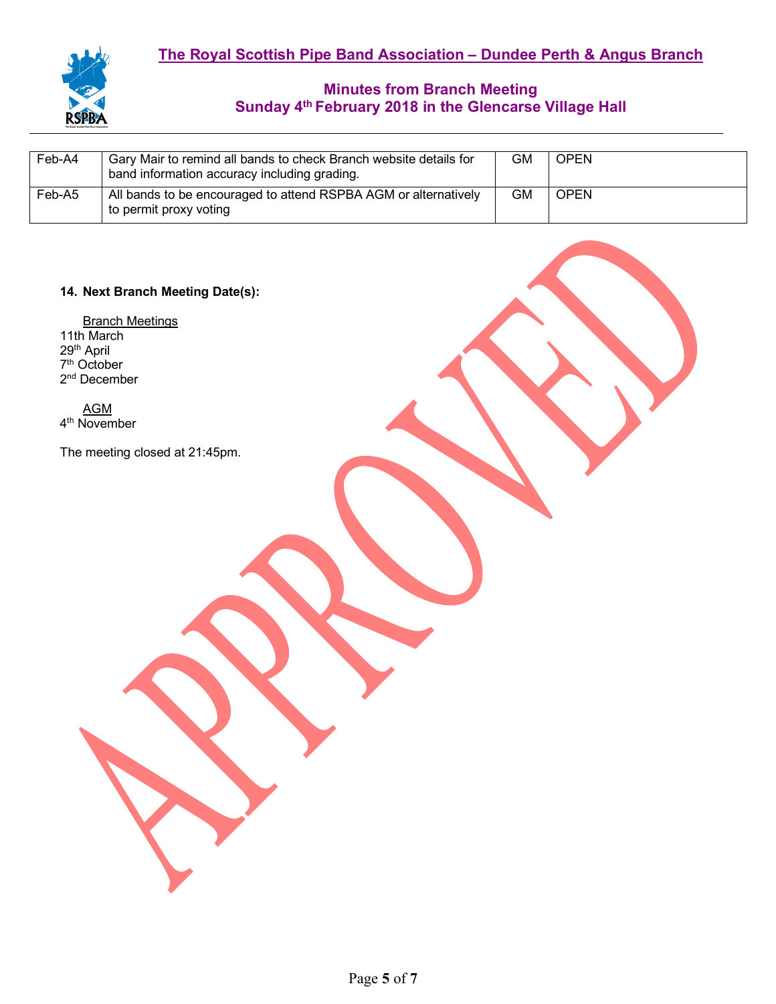| Feb-A4 | Gary Mair to remind all bands to check Branch website details for<br>band information accuracy including grading. | GМ | <b>OPEN</b> |
|--------|-------------------------------------------------------------------------------------------------------------------|----|-------------|
| Feb-A5 | All bands to be encouraged to attend RSPBA AGM or alternatively<br>to permit proxy voting                         | GМ | <b>OPEN</b> |

## **14. Next Branch Meeting Date(s):**

Branch Meetings 11th March 29<sup>th</sup> April 7<sup>th</sup> October 2nd December

AGM 4th November

The meeting closed at 21:45pm.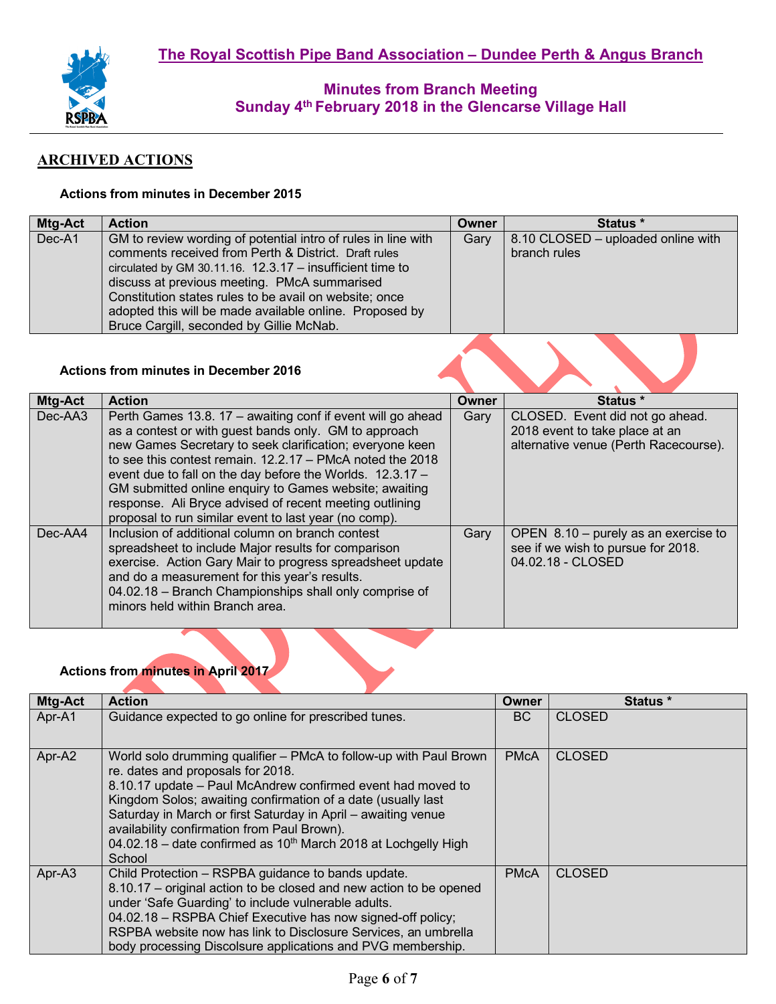

# **ARCHIVED ACTIONS**

## **Actions from minutes in December 2015**

| Mtg-Act | <b>Action</b>                                                                                                                                                                                                                                                                                                                                                                                         | Owner | Status *                                           |
|---------|-------------------------------------------------------------------------------------------------------------------------------------------------------------------------------------------------------------------------------------------------------------------------------------------------------------------------------------------------------------------------------------------------------|-------|----------------------------------------------------|
| Dec-A1  | GM to review wording of potential intro of rules in line with<br>comments received from Perth & District. Draft rules<br>circulated by GM 30.11.16. $12.3.17 -$ insufficient time to<br>discuss at previous meeting. PMcA summarised<br>Constitution states rules to be avail on website; once<br>adopted this will be made available online. Proposed by<br>Bruce Cargill, seconded by Gillie McNab. | Gary  | 8.10 CLOSED - uploaded online with<br>branch rules |
|         |                                                                                                                                                                                                                                                                                                                                                                                                       |       |                                                    |

# **Actions from minutes in December 2016**

| Mtg-Act    | <b>Action</b>                                                                                                                                                                                                                                                                                                                                                                                                                                                                              | <b>Owner</b> | Status *                                                                                                   |
|------------|--------------------------------------------------------------------------------------------------------------------------------------------------------------------------------------------------------------------------------------------------------------------------------------------------------------------------------------------------------------------------------------------------------------------------------------------------------------------------------------------|--------------|------------------------------------------------------------------------------------------------------------|
| Dec-AA3    | Perth Games 13.8. 17 - awaiting conf if event will go ahead<br>as a contest or with guest bands only. GM to approach<br>new Games Secretary to seek clarification; everyone keen<br>to see this contest remain, $12.2.17 - PMcA$ noted the 2018<br>event due to fall on the day before the Worlds. 12.3.17 -<br>GM submitted online enquiry to Games website; awaiting<br>response. Ali Bryce advised of recent meeting outlining<br>proposal to run similar event to last year (no comp). | Gary         | CLOSED. Event did not go ahead.<br>2018 event to take place at an<br>alternative venue (Perth Racecourse). |
| $Dec$ -AA4 | Inclusion of additional column on branch contest<br>spreadsheet to include Major results for comparison<br>exercise. Action Gary Mair to progress spreadsheet update<br>and do a measurement for this year's results.<br>04.02.18 - Branch Championships shall only comprise of<br>minors held within Branch area.                                                                                                                                                                         | Gary         | OPEN 8.10 - purely as an exercise to<br>see if we wish to pursue for 2018.<br>04.02.18 - CLOSED            |



| Mtg-Act | <b>Action</b>                                                                                                                                                                                                                                                                                                                                                                                                                       | Owner       | Status *      |
|---------|-------------------------------------------------------------------------------------------------------------------------------------------------------------------------------------------------------------------------------------------------------------------------------------------------------------------------------------------------------------------------------------------------------------------------------------|-------------|---------------|
| Apr-A1  | Guidance expected to go online for prescribed tunes.                                                                                                                                                                                                                                                                                                                                                                                | BC          | <b>CLOSED</b> |
| Apr-A2  | World solo drumming qualifier – PMcA to follow-up with Paul Brown<br>re. dates and proposals for 2018.<br>8.10.17 update – Paul McAndrew confirmed event had moved to<br>Kingdom Solos; awaiting confirmation of a date (usually last<br>Saturday in March or first Saturday in April - awaiting venue<br>availability confirmation from Paul Brown).<br>04.02.18 – date confirmed as $10th$ March 2018 at Lochgelly High<br>School | <b>PMcA</b> | <b>CLOSED</b> |
| Apr-A3  | Child Protection - RSPBA guidance to bands update.<br>8.10.17 – original action to be closed and new action to be opened<br>under 'Safe Guarding' to include vulnerable adults.<br>04.02.18 - RSPBA Chief Executive has now signed-off policy;<br>RSPBA website now has link to Disclosure Services, an umbrella<br>body processing Discolsure applications and PVG membership.                                                     | <b>PMcA</b> | <b>CLOSED</b> |